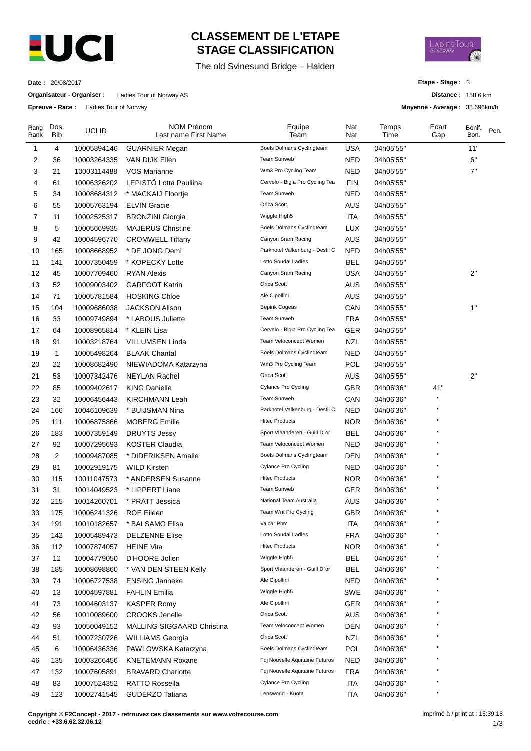

## **CLASSEMENT DE L'ETAPE STAGE CLASSIFICATION**

The old Svinesund Bridge – Halden



**Distance :** 158.6 km **Moyenne - Average :** 38.696km/h

**Etape - Stage :** 3

**Date :** 20/08/2017

**Organisateur - Organiser :** Ladies Tour of Norway AS

**Epreuve - Race :** Ladies Tour of Norway

| Rang<br>Rank | Dos.<br><b>Bib</b> | UCI ID      | NOM Prénom<br>Last name First Name | Equipe<br>Team                  | Nat.<br>Nat. | Temps<br>Time | Ecart<br>Gap       | Bonif.<br>Bon. | Pen. |
|--------------|--------------------|-------------|------------------------------------|---------------------------------|--------------|---------------|--------------------|----------------|------|
| 1            | 4                  | 10005894146 | <b>GUARNIER Megan</b>              | Boels Dolmans Cyclingteam       | <b>USA</b>   | 04h05'55"     |                    | 11"            |      |
| 2            | 36                 | 10003264335 | VAN DIJK Ellen                     | <b>Team Sunweb</b>              | NED          | 04h05'55"     |                    | $6^{\circ}$    |      |
| 3            | 21                 | 10003114488 | <b>VOS Marianne</b>                | Wm3 Pro Cycling Team            | <b>NED</b>   | 04h05'55"     |                    | 7"             |      |
| 4            | 61                 | 10006326202 | LEPISTÖ Lotta Pauliina             | Cervelo - Bigla Pro Cycling Tea | <b>FIN</b>   | 04h05'55"     |                    |                |      |
| 5            | 34                 | 10008684312 | * MACKAIJ Floortje                 | Team Sunweb                     | <b>NED</b>   | 04h05'55"     |                    |                |      |
| 6            | 55                 | 10005763194 | <b>ELVIN Gracie</b>                | Orica Scott                     | AUS          | 04h05'55"     |                    |                |      |
| 7            | 11                 | 10002525317 | <b>BRONZINI Giorgia</b>            | Wiggle High5                    | <b>ITA</b>   | 04h05'55"     |                    |                |      |
| 8            | 5                  | 10005669935 | <b>MAJERUS Christine</b>           | Boels Dolmans Cyclingteam       | <b>LUX</b>   | 04h05'55"     |                    |                |      |
| 9            | 42                 | 10004596770 | <b>CROMWELL Tiffany</b>            | Canyon Sram Racing              | AUS          | 04h05'55"     |                    |                |      |
| 10           | 165                | 10008668952 | * DE JONG Demi                     | Parkhotel Valkenburg - Destil C | <b>NED</b>   | 04h05'55"     |                    |                |      |
| 11           | 141                | 10007350459 | * KOPECKY Lotte                    | Lotto Soudal Ladies             | BEL          | 04h05'55"     |                    |                |      |
| 12           | 45                 | 10007709460 | <b>RYAN Alexis</b>                 | Canyon Sram Racing              | USA          | 04h05'55"     |                    | 2"             |      |
| 13           | 52                 | 10009003402 | <b>GARFOOT Katrin</b>              | Orica Scott                     | AUS          | 04h05'55"     |                    |                |      |
| 14           | 71                 | 10005781584 | <b>HOSKING Chloe</b>               | Ale Cipollini                   | AUS          | 04h05'55"     |                    |                |      |
| 15           | 104                | 10009686038 | <b>JACKSON Alison</b>              | <b>Bepink Cogeas</b>            | CAN          | 04h05'55"     |                    | 1"             |      |
| 16           | 33                 | 10009749894 | * LABOUS Juliette                  | Team Sunweb                     | <b>FRA</b>   | 04h05'55"     |                    |                |      |
| 17           | 64                 | 10008965814 | * KLEIN Lisa                       | Cervelo - Bigla Pro Cycling Tea | GER          | 04h05'55"     |                    |                |      |
| 18           | 91                 | 10003218764 | <b>VILLUMSEN Linda</b>             | Team Veloconcept Women          | <b>NZL</b>   | 04h05'55"     |                    |                |      |
| 19           | 1                  | 10005498264 | <b>BLAAK Chantal</b>               | Boels Dolmans Cyclingteam       | NED          | 04h05'55"     |                    |                |      |
| 20           | 22                 | 10008682490 | NIEWIADOMA Katarzyna               | Wm3 Pro Cycling Team            | POL          | 04h05'55"     |                    |                |      |
| 21           | 53                 | 10007342476 | <b>NEYLAN Rachel</b>               | Orica Scott                     | <b>AUS</b>   | 04h05'55"     |                    | 2"             |      |
| 22           | 85                 | 10009402617 | <b>KING Danielle</b>               | Cylance Pro Cycling             | <b>GBR</b>   | 04h06'36"     | 41"                |                |      |
| 23           | 32                 | 10006456443 | KIRCHMANN Leah                     | Team Sunweb                     | CAN          | 04h06'36"     | п                  |                |      |
| 24           | 166                | 10046109639 | * BUIJSMAN Nina                    | Parkhotel Valkenburg - Destil C | <b>NED</b>   | 04h06'36"     | н                  |                |      |
| 25           | 111                | 10006875866 | <b>MOBERG Emilie</b>               | <b>Hitec Products</b>           | <b>NOR</b>   | 04h06'36"     | п                  |                |      |
| 26           | 183                | 10007359149 | <b>DRUYTS Jessy</b>                | Sport Vlaanderen - Guill D'or   | <b>BEL</b>   | 04h06'36"     | П                  |                |      |
| 27           | 92                 | 10007295693 | KOSTER Claudia                     | Team Veloconcept Women          | NED          | 04h06'36"     |                    |                |      |
| 28           | 2                  | 10009487085 | * DIDERIKSEN Amalie                | Boels Dolmans Cyclingteam       | DEN          | 04h06'36"     | П                  |                |      |
| 29           | 81                 | 10002919175 | <b>WILD Kirsten</b>                | Cylance Pro Cycling             | NED          | 04h06'36"     | П                  |                |      |
| 30           | 115                | 10011047573 | * ANDERSEN Susanne                 | <b>Hitec Products</b>           | <b>NOR</b>   | 04h06'36"     | п                  |                |      |
| 31           | 31                 | 10014049523 | * LIPPERT Liane                    | Team Sunweb                     | GER          | 04h06'36"     | $\pmb{\mathsf{H}}$ |                |      |
| 32           | 215                | 10014260701 | * PRATT Jessica                    | National Team Australia         | AUS          | 04h06'36"     | п                  |                |      |
| 33           | 175                | 10006241326 | <b>ROE Eileen</b>                  | Team Wnt Pro Cycling            | <b>GBR</b>   | 04h06'36"     | $\blacksquare$     |                |      |
| 34           | 191                | 10010182657 | * BALSAMO Elisa                    | Valcar Pbm                      | <b>ITA</b>   | 04h06'36"     | $\pmb{\mathsf{H}}$ |                |      |
| 35           | 142                | 10005489473 | <b>DELZENNE Elise</b>              | Lotto Soudal Ladies             | <b>FRA</b>   | 04h06'36"     |                    |                |      |
| 36           | 112                | 10007874057 | <b>HEINE Vita</b>                  | <b>Hitec Products</b>           | <b>NOR</b>   | 04h06'36"     | П                  |                |      |
| 37           | 12                 | 10004779050 | D'HOORE Jolien                     | Wiggle High5                    | <b>BEL</b>   | 04h06'36"     | п                  |                |      |
| 38           | 185                | 10008698860 | * VAN DEN STEEN Kelly              | Sport Vlaanderen - Guill D'or   | <b>BEL</b>   | 04h06'36"     | П                  |                |      |
| 39           | 74                 | 10006727538 | <b>ENSING Janneke</b>              | Ale Cipollini                   | <b>NED</b>   | 04h06'36"     | $\mathbf{H}$       |                |      |
| 40           | 13                 | 10004597881 | FAHLIN Emilia                      | Wiggle High5                    | <b>SWE</b>   | 04h06'36"     | н                  |                |      |
| 41           | 73                 | 10004603137 | <b>KASPER Romy</b>                 | Ale Cipollini                   | <b>GER</b>   | 04h06'36"     | п                  |                |      |
| 42           | 56                 | 10010089600 | <b>CROOKS Jenelle</b>              | Orica Scott                     | AUS          | 04h06'36"     | П                  |                |      |
| 43           | 93                 | 10050049152 | MALLING SIGGAARD Christina         | Team Veloconcept Women          | <b>DEN</b>   | 04h06'36"     | П                  |                |      |
| 44           | 51                 | 10007230726 | <b>WILLIAMS Georgia</b>            | Orica Scott                     | <b>NZL</b>   | 04h06'36"     | П                  |                |      |
| 45           | 6                  | 10006436336 | PAWLOWSKA Katarzyna                | Boels Dolmans Cyclingteam       | <b>POL</b>   | 04h06'36"     | п                  |                |      |
| 46           | 135                | 10003266456 | <b>KNETEMANN Roxane</b>            | Fdj Nouvelle Aquitaine Futuros  | <b>NED</b>   | 04h06'36"     | п                  |                |      |
| 47           | 132                | 10007605891 | <b>BRAVARD Charlotte</b>           | Fdj Nouvelle Aquitaine Futuros  | <b>FRA</b>   | 04h06'36"     | $\pmb{\mathsf{H}}$ |                |      |
| 48           | 83                 | 10007524352 | <b>RATTO Rossella</b>              | Cylance Pro Cycling             | <b>ITA</b>   | 04h06'36"     | н                  |                |      |
| 49           | 123                | 10002741545 | GUDERZO Tatiana                    | Lensworld - Kuota               | ITA          | 04h06'36"     | $\blacksquare$     |                |      |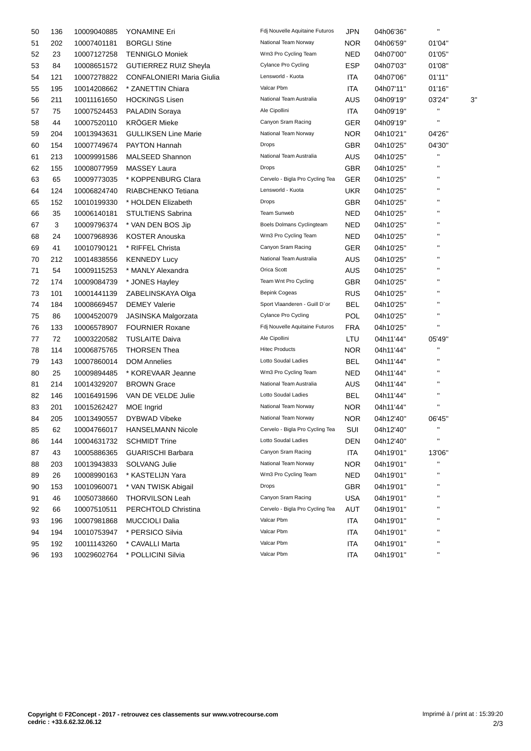| 50 | 136 | 10009040885 | YONAMINE Eri                     | Fdj Nouvelle Aquitaine Futuros  | <b>JPN</b> | 04h06'36" | $\mathbf{H}$       |    |
|----|-----|-------------|----------------------------------|---------------------------------|------------|-----------|--------------------|----|
| 51 | 202 | 10007401181 | <b>BORGLI Stine</b>              | National Team Norway            | NOR.       | 04h06'59" | 01'04"             |    |
| 52 | 23  | 10007127258 | <b>TENNIGLO Moniek</b>           | Wm3 Pro Cycling Team            | <b>NED</b> | 04h07'00" | 01'05"             |    |
| 53 | 84  | 10008651572 | <b>GUTIERREZ RUIZ Sheyla</b>     | Cylance Pro Cycling             | <b>ESP</b> | 04h07'03" | 01'08"             |    |
| 54 | 121 | 10007278822 | <b>CONFALONIERI Maria Giulia</b> | Lensworld - Kuota               | <b>ITA</b> | 04h07'06" | 01'11"             |    |
| 55 | 195 | 10014208662 | * ZANETTIN Chiara                | Valcar Pbm                      | ITA        | 04h07'11" | 01'16"             |    |
| 56 | 211 | 10011161650 | <b>HOCKINGS Lisen</b>            | National Team Australia         | <b>AUS</b> | 04h09'19" | 03'24"             | 3' |
| 57 | 75  | 10007524453 | PALADIN Soraya                   | Ale Cipollini                   | ITA.       | 04h09'19" | $\mathbf{H}$       |    |
| 58 | 44  | 10007520110 | <b>KRÖGER Mieke</b>              | Canyon Sram Racing              | GER        | 04h09'19" | н                  |    |
| 59 | 204 | 10013943631 | <b>GULLIKSEN Line Marie</b>      | National Team Norway            | NOR.       | 04h10'21" | 04'26"             |    |
| 60 | 154 | 10007749674 | PAYTON Hannah                    | <b>Drops</b>                    | <b>GBR</b> | 04h10'25" | 04'30"             |    |
| 61 | 213 | 10009991586 | MALSEED Shannon                  | National Team Australia         | <b>AUS</b> | 04h10'25" | $\mathbf{H}$       |    |
| 62 | 155 | 10008077959 | MASSEY Laura                     | <b>Drops</b>                    | GBR        | 04h10'25" | $\mathbf{H}$       |    |
| 63 | 65  | 10009773035 | * KOPPENBURG Clara               | Cervelo - Bigla Pro Cycling Tea | GER        | 04h10'25" | $\mathbf{H}$       |    |
| 64 | 124 | 10006824740 | RIABCHENKO Tetiana               | Lensworld - Kuota               | <b>UKR</b> | 04h10'25" |                    |    |
| 65 | 152 | 10010199330 | * HOLDEN Elizabeth               | <b>Drops</b>                    | <b>GBR</b> | 04h10'25" | п                  |    |
| 66 | 35  | 10006140181 | STULTIENS Sabrina                | Team Sunweb                     | <b>NED</b> | 04h10'25" | п                  |    |
| 67 | 3   | 10009796374 | * VAN DEN BOS Jip                | Boels Dolmans Cyclingteam       | <b>NED</b> | 04h10'25" | $\pmb{\mathsf{H}}$ |    |
| 68 | 24  | 10007968936 | <b>KOSTER Anouska</b>            | Wm3 Pro Cycling Team            | NED        | 04h10'25" | п                  |    |
| 69 | 41  | 10010790121 | * RIFFEL Christa                 | Canyon Sram Racing              | <b>GER</b> | 04h10'25" | $\mathbf{H}$       |    |
| 70 | 212 | 10014838556 | <b>KENNEDY Lucy</b>              | National Team Australia         | <b>AUS</b> | 04h10'25" |                    |    |
| 71 | 54  | 10009115253 | * MANLY Alexandra                | Orica Scott                     | AUS.       | 04h10'25" | $\mathbf{H}$       |    |
| 72 | 174 | 10009084739 | * JONES Hayley                   | Team Wnt Pro Cycling            | <b>GBR</b> | 04h10'25" | п                  |    |
| 73 | 101 | 10001441139 | ZABELINSKAYA Olga                | <b>Bepink Cogeas</b>            | <b>RUS</b> | 04h10'25" | П                  |    |
| 74 | 184 | 10008669457 | <b>DEMEY Valerie</b>             | Sport Vlaanderen - Guill D'or   | BEL        | 04h10'25" | п                  |    |
| 75 | 86  | 10004520079 | JASINSKA Malgorzata              | Cylance Pro Cycling             | <b>POL</b> | 04h10'25" | $\mathbf{H}$       |    |
| 76 | 133 | 10006578907 | <b>FOURNIER Roxane</b>           | Fdj Nouvelle Aquitaine Futuros  | <b>FRA</b> | 04h10'25" | $\mathbf{H}$       |    |
| 77 | 72  | 10003220582 | <b>TUSLAITE Daiva</b>            | Ale Cipollini                   | LTU        | 04h11'44" | 05'49"             |    |
| 78 | 114 | 10006875765 | <b>THORSEN Thea</b>              | <b>Hitec Products</b>           | <b>NOR</b> | 04h11'44" | $\blacksquare$     |    |
| 79 | 143 | 10007860014 | <b>DOM Annelies</b>              | Lotto Soudal Ladies             | <b>BEL</b> | 04h11'44" | $\blacksquare$     |    |
| 80 | 25  | 10009894485 | * KOREVAAR Jeanne                | Wm3 Pro Cycling Team            | <b>NED</b> | 04h11'44" | п                  |    |
| 81 | 214 | 10014329207 | <b>BROWN Grace</b>               | National Team Australia         | AUS.       | 04h11'44" | $\mathbf{H}$       |    |
| 82 | 146 | 10016491596 | VAN DE VELDE Julie               | Lotto Soudal Ladies             | <b>BEL</b> | 04h11'44" |                    |    |
| 83 | 201 | 10015262427 | MOE Ingrid                       | National Team Norway            | NOR.       | 04h11'44" | $\blacksquare$     |    |
| 84 | 205 | 10013490557 | DYBWAD Vibeke                    | National Team Norway            | NOR.       | 04h12'40" | 06'45"             |    |
| 85 | 62  | 10004766017 | <b>HANSELMANN Nicole</b>         | Cervelo - Bigla Pro Cycling Tea | SUI        | 04h12'40" |                    |    |
| 86 | 144 | 10004631732 | <b>SCHMIDT Trine</b>             | Lotto Soudal Ladies             | DEN        | 04h12'40" | $\blacksquare$     |    |
| 87 | 43  | 10005886365 | <b>GUARISCHI Barbara</b>         | Canyon Sram Racing              | <b>ITA</b> | 04h19'01" | 13'06"             |    |
| 88 | 203 | 10013943833 | <b>SOLVANG Julie</b>             | National Team Norway            | <b>NOR</b> | 04h19'01" | п                  |    |
| 89 | 26  | 10008990163 | * KASTELIJN Yara                 | Wm3 Pro Cycling Team            | <b>NED</b> | 04h19'01" | $\blacksquare$     |    |
| 90 | 153 | 10010960071 | * VAN TWISK Abigail              | <b>Drops</b>                    | <b>GBR</b> | 04h19'01" | $\pmb{\mathsf{H}}$ |    |
| 91 | 46  | 10050738660 | <b>THORVILSON Leah</b>           | Canyon Sram Racing              | <b>USA</b> | 04h19'01" | п                  |    |
| 92 | 66  | 10007510511 | PERCHTOLD Christina              | Cervelo - Bigla Pro Cycling Tea | <b>AUT</b> | 04h19'01" | п                  |    |
| 93 | 196 | 10007981868 | <b>MUCCIOLI Dalia</b>            | Valcar Pbm                      | <b>ITA</b> | 04h19'01" | н                  |    |
| 94 | 194 | 10010753947 | * PERSICO Silvia                 | Valcar Pbm                      | ITA        | 04h19'01" | $\pmb{\mathsf{H}}$ |    |
| 95 | 192 | 10011143260 | * CAVALLI Marta                  | Valcar Pbm                      | <b>ITA</b> | 04h19'01" | н                  |    |
| 96 | 193 | 10029602764 | * POLLICINI Silvia               | Valcar Pbm                      | <b>ITA</b> | 04h19'01" | $\blacksquare$     |    |